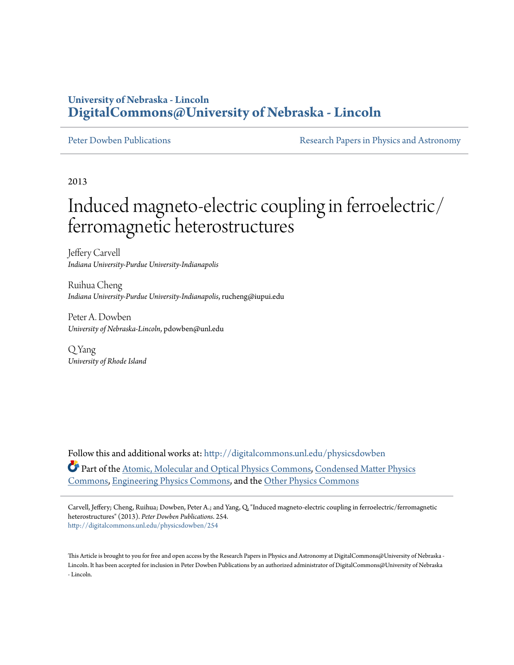## **University of Nebraska - Lincoln [DigitalCommons@University of Nebraska - Lincoln](http://digitalcommons.unl.edu?utm_source=digitalcommons.unl.edu%2Fphysicsdowben%2F254&utm_medium=PDF&utm_campaign=PDFCoverPages)**

[Peter Dowben Publications](http://digitalcommons.unl.edu/physicsdowben?utm_source=digitalcommons.unl.edu%2Fphysicsdowben%2F254&utm_medium=PDF&utm_campaign=PDFCoverPages) **[Research Papers in Physics and Astronomy](http://digitalcommons.unl.edu/physicsresearch?utm_source=digitalcommons.unl.edu%2Fphysicsdowben%2F254&utm_medium=PDF&utm_campaign=PDFCoverPages)** 

2013

## Induced magneto-electric coupling in ferroelectric/ ferromagnetic heterostructures

Jeffery Carvell *Indiana University-Purdue University-Indianapolis*

Ruihua Cheng *Indiana University-Purdue University-Indianapolis*, rucheng@iupui.edu

Peter A. Dowben *University of Nebraska-Lincoln*, pdowben@unl.edu

Q Yang *University of Rhode Island*

Follow this and additional works at: [http://digitalcommons.unl.edu/physicsdowben](http://digitalcommons.unl.edu/physicsdowben?utm_source=digitalcommons.unl.edu%2Fphysicsdowben%2F254&utm_medium=PDF&utm_campaign=PDFCoverPages) Part of the [Atomic, Molecular and Optical Physics Commons,](http://network.bepress.com/hgg/discipline/195?utm_source=digitalcommons.unl.edu%2Fphysicsdowben%2F254&utm_medium=PDF&utm_campaign=PDFCoverPages) [Condensed Matter Physics](http://network.bepress.com/hgg/discipline/197?utm_source=digitalcommons.unl.edu%2Fphysicsdowben%2F254&utm_medium=PDF&utm_campaign=PDFCoverPages) [Commons,](http://network.bepress.com/hgg/discipline/197?utm_source=digitalcommons.unl.edu%2Fphysicsdowben%2F254&utm_medium=PDF&utm_campaign=PDFCoverPages) [Engineering Physics Commons](http://network.bepress.com/hgg/discipline/200?utm_source=digitalcommons.unl.edu%2Fphysicsdowben%2F254&utm_medium=PDF&utm_campaign=PDFCoverPages), and the [Other Physics Commons](http://network.bepress.com/hgg/discipline/207?utm_source=digitalcommons.unl.edu%2Fphysicsdowben%2F254&utm_medium=PDF&utm_campaign=PDFCoverPages)

Carvell, Jeffery; Cheng, Ruihua; Dowben, Peter A.; and Yang, Q, "Induced magneto-electric coupling in ferroelectric/ferromagnetic heterostructures" (2013). *Peter Dowben Publications*. 254. [http://digitalcommons.unl.edu/physicsdowben/254](http://digitalcommons.unl.edu/physicsdowben/254?utm_source=digitalcommons.unl.edu%2Fphysicsdowben%2F254&utm_medium=PDF&utm_campaign=PDFCoverPages)

This Article is brought to you for free and open access by the Research Papers in Physics and Astronomy at DigitalCommons@University of Nebraska - Lincoln. It has been accepted for inclusion in Peter Dowben Publications by an authorized administrator of DigitalCommons@University of Nebraska - Lincoln.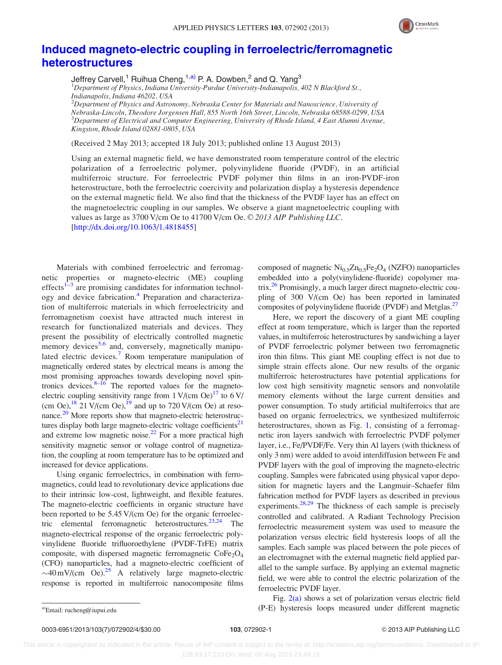

## [Induced magneto-electric coupling in ferroelectric/ferromagnetic](http://dx.doi.org/10.1063/1.4818455) [heterostructures](http://dx.doi.org/10.1063/1.4818455)

Jeffrey Carvell,<sup>1</sup> Ruihua Cheng,<sup>1,a)</sup> P. A. Dowben,<sup>2</sup> and Q. Yang<sup>3</sup>

<sup>1</sup>Department of Physics, Indiana University-Purdue University-Indianapolis, 402 N Blackford St., Indianapolis, Indiana 46202, USA

 $^2$ Department of Physics and Astronomy, Nebraska Center for Materials and Nanoscience, University of Nebraska-Lincoln, Theodore Jorgensen Hall, 855 North 16th Street, Lincoln, Nebraska 68588-0299, USA  $^3$ Department of Electrical and Computer Engineering, University of Rhode Island, 4 East Alumni Avenue, Kingston, Rhode Island 02881-0805, USA

(Received 2 May 2013; accepted 18 July 2013; published online 13 August 2013)

Using an external magnetic field, we have demonstrated room temperature control of the electric polarization of a ferroelectric polymer, polyvinylidene fluoride (PVDF), in an artificial multiferroic structure. For ferroelectric PVDF polymer thin films in an iron-PVDF-iron heterostructure, both the ferroelectric coercivity and polarization display a hysteresis dependence on the external magnetic field. We also find that the thickness of the PVDF layer has an effect on the magnetoelectric coupling in our samples. We observe a giant magnetoelectric coupling with values as large as 3700 V/cm Oe to 41700 V/cm Oe. © 2013 AIP Publishing LLC. [\[http://dx.doi.org/10.1063/1.4818455](http://dx.doi.org/10.1063/1.4818455)]

Materials with combined ferroelectric and ferromagnetic properties or magneto-electric (ME) coupling effects $1-3$  are promising candidates for information technol-ogy and device fabrication.<sup>[4](#page-4-0)</sup> Preparation and characterization of multiferroic materials in which ferroelectricity and ferromagnetism coexist have attracted much interest in research for functionalized materials and devices. They present the possibility of electrically controlled magnetic memory devices<sup>[5,6](#page-4-0)</sup> and, conversely, magnetically manipu-lated electric devices.<sup>[7](#page-4-0)</sup> Room temperature manipulation of magnetically ordered states by electrical means is among the most promising approaches towards developing novel spin-tronics devices.<sup>[8–16](#page-4-0)</sup> The reported values for the magnetoelectric coupling sensitivity range from  $1 \text{ V}/(\text{cm} \text{Oe})^{17}$  to  $6 \text{ V}/\text{C}$ (cm Oe),  $^{18}$  21 V/(cm Oe),  $^{19}$  and up to 720 V/(cm Oe) at resonance.<sup>20</sup> More reports show that magneto-electric heterostruc-tures display both large magneto-electric voltage coefficients<sup>[21](#page-4-0)</sup> and extreme low magnetic noise.<sup>[22](#page-4-0)</sup> For a more practical high sensitivity magnetic sensor or voltage control of magnetization, the coupling at room temperature has to be optimized and increased for device applications.

Using organic ferroelectrics, in combination with ferromagnetics, could lead to revolutionary device applications due to their intrinsic low-cost, lightweight, and flexible features. The magneto-electric coefficients in organic structure have been reported to be 5.45 V/(cm Oe) for the organic ferroelectric elemental ferromagnetic heterostructures. $23,24$  The magneto-electrical response of the organic ferroelectric polyvinylidene fluoride trifluoroethylene (PVDF-TrFE) matrix composite, with dispersed magnetic ferromagnetic  $\text{CoFe}_2\text{O}_4$ (CFO) nanoparticles, had a magneto-electric coefficient of  $\sim$ 40 mV/(cm Oe).<sup>25</sup> A relatively large magneto-electric response is reported in multiferroic nanocomposite films

composed of magnetic  $\text{Ni}_{0.5}\text{Zn}_{0.5}\text{Fe}_2\text{O}_4$  (NZFO) nanoparticles embedded into a poly(vinylidene-fluoride) copolymer matrix[.26](#page-4-0) Promisingly, a much larger direct magneto-electric coupling of 300 V/(cm Oe) has been reported in laminated composites of polyvinylidene fluoride (PVDF) and Metglas.<sup>27</sup>

Here, we report the discovery of a giant ME coupling effect at room temperature, which is larger than the reported values, in multiferroic heterostructures by sandwiching a layer of PVDF ferroelectric polymer between two ferromagnetic iron thin films. This giant ME coupling effect is not due to simple strain effects alone. Our new results of the organic multiferroic heterostructures have potential applications for low cost high sensitivity magnetic sensors and nonvolatile memory elements without the large current densities and power consumption. To study artificial multiferroics that are based on organic ferroelectrics, we synthesized multiferroic heterostructures, shown as Fig. [1,](#page-2-0) consisting of a ferromagnetic iron layers sandwich with ferroelectric PVDF polymer layer, i.e., Fe/PVDF/Fe. Very thin Al layers (with thickness of only 3 nm) were added to avoid interdiffusion between Fe and PVDF layers with the goal of improving the magneto-electric coupling. Samples were fabricated using physical vapor deposition for magnetic layers and the Langmuir–Schaefer film fabrication method for PVDF layers as described in previous experiments. $28,29$  The thickness of each sample is precisely controlled and calibrated. A Radiant Technology Precision ferroelectric measurement system was used to measure the polarization versus electric field hysteresis loops of all the samples. Each sample was placed between the pole pieces of an electromagnet with the external magnetic field applied parallel to the sample surface. By applying an external magnetic field, we were able to control the electric polarization of the ferroelectric PVDF layer.

Fig. [2\(a\)](#page-2-0) shows a set of polarization versus electric field a)Email: [rucheng@iupui.edu](mailto:rucheng@iupui.edu) (P-E) hysteresis loops measured under different magnetic

 This article is copyrighted as indicated in the article. Reuse of AIP content is subject to the terms at: http://scitation.aip.org/termsconditions. Downloaded to IP: 129.93.17.210 On: Wed, 05 Aug 2015 23:49:15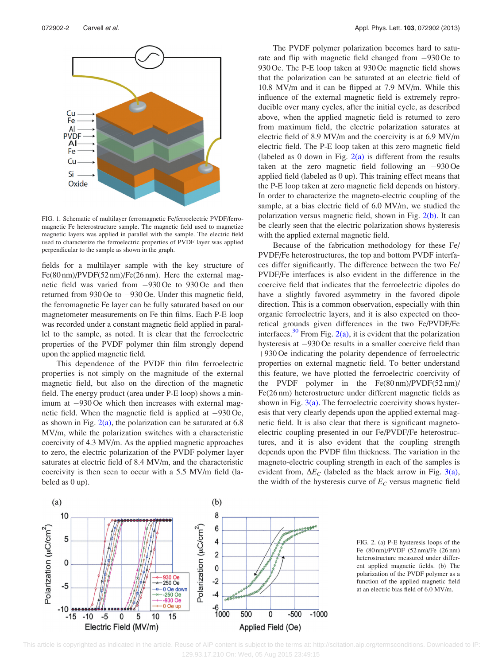<span id="page-2-0"></span>

FIG. 1. Schematic of multilayer ferromagnetic Fe/ferroelectric PVDF/ferromagnetic Fe heterostructure sample. The magnetic field used to magnetize magnetic layers was applied in parallel with the sample. The electric field used to characterize the ferroelectric properties of PVDF layer was applied perpendicular to the sample as shown in the graph.

fields for a multilayer sample with the key structure of Fe(80 nm)/PVDF(52 nm)/Fe(26 nm). Here the external magnetic field was varied from  $-930$  Oe to 930 Oe and then returned from 930 Oe to  $-930$  Oe. Under this magnetic field, the ferromagnetic Fe layer can be fully saturated based on our magnetometer measurements on Fe thin films. Each P-E loop was recorded under a constant magnetic field applied in parallel to the sample, as noted. It is clear that the ferroelectric properties of the PVDF polymer thin film strongly depend upon the applied magnetic field.

This dependence of the PVDF thin film ferroelectric properties is not simply on the magnitude of the external magnetic field, but also on the direction of the magnetic field. The energy product (area under P-E loop) shows a minimum at  $-930$  Oe which then increases with external magnetic field. When the magnetic field is applied at  $-930$  Oe, as shown in Fig.  $2(a)$ , the polarization can be saturated at 6.8 MV/m, while the polarization switches with a characteristic coercivity of 4.3 MV/m. As the applied magnetic approaches to zero, the electric polarization of the PVDF polymer layer saturates at electric field of 8.4 MV/m, and the characteristic coercivity is then seen to occur with a 5.5 MV/m field (labeled as 0 up).

The PVDF polymer polarization becomes hard to saturate and flip with magnetic field changed from  $-930$  Oe to 930 Oe. The P-E loop taken at 930 Oe magnetic field shows that the polarization can be saturated at an electric field of 10.8 MV/m and it can be flipped at 7.9 MV/m. While this influence of the external magnetic field is extremely reproducible over many cycles, after the initial cycle, as described above, when the applied magnetic field is returned to zero from maximum field, the electric polarization saturates at electric field of 8.9 MV/m and the coercivity is at 6.9 MV/m electric field. The P-E loop taken at this zero magnetic field (labeled as 0 down in Fig.  $2(a)$  is different from the results taken at the zero magnetic field following an  $-930$  Oe applied field (labeled as 0 up). This training effect means that the P-E loop taken at zero magnetic field depends on history. In order to characterize the magneto-electric coupling of the sample, at a bias electric field of 6.0 MV/m, we studied the polarization versus magnetic field, shown in Fig. 2(b). It can be clearly seen that the electric polarization shows hysteresis with the applied external magnetic field.

Because of the fabrication methodology for these Fe/ PVDF/Fe heterostructures, the top and bottom PVDF interfaces differ significantly. The difference between the two Fe/ PVDF/Fe interfaces is also evident in the difference in the coercive field that indicates that the ferroelectric dipoles do have a slightly favored asymmetry in the favored dipole direction. This is a common observation, especially with thin organic ferroelectric layers, and it is also expected on theoretical grounds given differences in the two Fe/PVDF/Fe interfaces.<sup>[30](#page-4-0)</sup> From Fig.  $2(a)$ , it is evident that the polarization hysteresis at -930 Oe results in a smaller coercive field than  $+930$  Oe indicating the polarity dependence of ferroelectric properties on external magnetic field. To better understand this feature, we have plotted the ferroelectric coercivity of the PVDF polymer in the Fe(80 nm)/PVDF(52 nm)/ Fe(26 nm) heterostructure under different magnetic fields as shown in Fig.  $3(a)$ . The ferroelectric coercivity shows hysteresis that very clearly depends upon the applied external magnetic field. It is also clear that there is significant magnetoelectric coupling presented in our Fe/PVDF/Fe heterostructures, and it is also evident that the coupling strength depends upon the PVDF film thickness. The variation in the magneto-electric coupling strength in each of the samples is evident from,  $\Delta E_C$  (labeled as the black arrow in Fig. [3\(a\)](#page-3-0), the width of the hysteresis curve of  $E_C$  versus magnetic field



FIG. 2. (a) P-E hysteresis loops of the Fe (80 nm)/PVDF (52 nm)/Fe (26 nm) heterostructure measured under different applied magnetic fields. (b) The polarization of the PVDF polymer as a function of the applied magnetic field at an electric bias field of 6.0 MV/m.

This article is copyrighted as indicated in the article. Reuse of AIP content is subject to the terms at: http://scitation.aip.org/termsconditions. Downloaded to IP: 129.93.17.210 On: Wed, 05 Aug 2015 23:49:15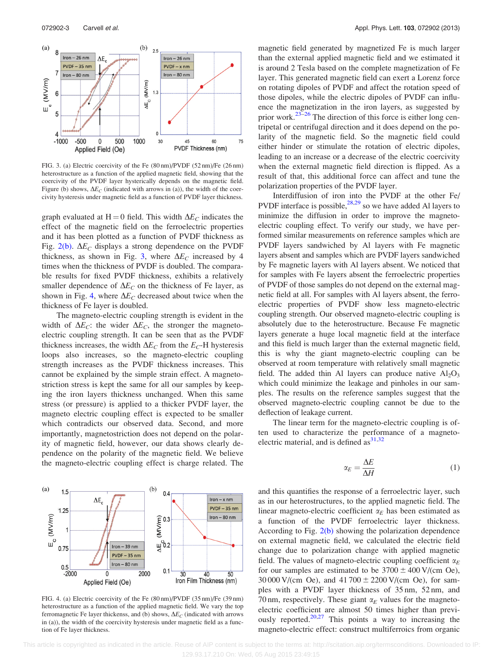<span id="page-3-0"></span>

FIG. 3. (a) Electric coercivity of the Fe (80 nm)/PVDF (52 nm)/Fe (26 nm) heterostructure as a function of the applied magnetic field, showing that the coercivity of the PVDF layer hysterically depends on the magnetic field. Figure (b) shows,  $\Delta E_C$  (indicated with arrows in (a)), the width of the coercivity hysteresis under magnetic field as a function of PVDF layer thickness.

graph evaluated at H = 0 field. This width  $\Delta E_C$  indicates the effect of the magnetic field on the ferroelectric properties and it has been plotted as a function of PVDF thickness as Fig. [2\(b\)](#page-2-0).  $\Delta E_C$  displays a strong dependence on the PVDF thickness, as shown in Fig. 3, where  $\Delta E_C$  increased by 4 times when the thickness of PVDF is doubled. The comparable results for fixed PVDF thickness, exhibits a relatively smaller dependence of  $\Delta E_C$  on the thickness of Fe layer, as shown in Fig. 4, where  $\Delta E_C$  decreased about twice when the thickness of Fe layer is doubled.

The magneto-electric coupling strength is evident in the width of  $\Delta E_C$ : the wider  $\Delta E_C$ , the stronger the magnetoelectric coupling strength. It can be seen that as the PVDF thickness increases, the width  $\Delta E_C$  from the  $E_C$ -H hysteresis loops also increases, so the magneto-electric coupling strength increases as the PVDF thickness increases. This cannot be explained by the simple strain effect. A magnetostriction stress is kept the same for all our samples by keeping the iron layers thickness unchanged. When this same stress (or pressure) is applied to a thicker PVDF layer, the magneto electric coupling effect is expected to be smaller which contradicts our observed data. Second, and more importantly, magnetostriction does not depend on the polarity of magnetic field, however, our data shows clearly dependence on the polarity of the magnetic field. We believe the magneto-electric coupling effect is charge related. The



FIG. 4. (a) Electric coercivity of the Fe (80 nm)/PVDF (35 nm)/Fe (39 nm) heterostructure as a function of the applied magnetic field. We vary the top ferromagnetic Fe layer thickenss, and (b) shows,  $\Delta E_C$  (indicated with arrows in (a)), the width of the coercivity hysteresis under magnetic field as a function of Fe layer thickness.

magnetic field generated by magnetized Fe is much larger than the external applied magnetic field and we estimated it is around 2 Tesla based on the complete magnetization of Fe layer. This generated magnetic field can exert a Lorenz force on rotating dipoles of PVDF and affect the rotation speed of those dipoles, while the electric dipoles of PVDF can influence the magnetization in the iron layers, as suggested by prior work. $23-26$  The direction of this force is either long centripetal or centrifugal direction and it does depend on the polarity of the magnetic field. So the magnetic field could either hinder or stimulate the rotation of electric dipoles, leading to an increase or a decrease of the electric coercivity when the external magnetic field direction is flipped. As a result of that, this additional force can affect and tune the polarization properties of the PVDF layer.

Interdiffusion of iron into the PVDF at the other Fe/ PVDF interface is possible, $28,29$  so we have added Al layers to minimize the diffusion in order to improve the magnetoelectric coupling effect. To verify our study, we have performed similar measurements on reference samples which are PVDF layers sandwiched by Al layers with Fe magnetic layers absent and samples which are PVDF layers sandwiched by Fe magnetic layers with Al layers absent. We noticed that for samples with Fe layers absent the ferroelectric properties of PVDF of those samples do not depend on the external magnetic field at all. For samples with Al layers absent, the ferroelectric properties of PVDF show less magneto-electric coupling strength. Our observed magneto-electric coupling is absolutely due to the heterostructure. Because Fe magnetic layers generate a huge local magnetic field at the interface and this field is much larger than the external magnetic field, this is why the giant magneto-electric coupling can be observed at room temperature with relatively small magnetic field. The added thin Al layers can produce native  $Al_2O_3$ which could minimize the leakage and pinholes in our samples. The results on the reference samples suggest that the observed magneto-electric coupling cannot be due to the deflection of leakage current.

The linear term for the magneto-electric coupling is often used to characterize the performance of a magnetoelectric material, and is defined  $as^{31,32}$  $as^{31,32}$  $as^{31,32}$ 

$$
\alpha_E = \frac{\Delta E}{\Delta H} \tag{1}
$$

and this quantifies the response of a ferroelectric layer, such as in our heterostructures, to the applied magnetic field. The linear magneto-electric coefficient  $\alpha_E$  has been estimated as a function of the PVDF ferroelectric layer thickness. According to Fig. [2\(b\)](#page-2-0) showing the polarization dependence on external magnetic field, we calculated the electric field change due to polarization change with applied magnetic field. The values of magneto-electric coupling coefficient  $\alpha_F$ for our samples are estimated to be  $3700 \pm 400$  V/(cm Oe),  $30\,000\,\text{V}/(\text{cm}\, \text{Oe})$ , and  $41\,700 \pm 2200\,\text{V}/(\text{cm}\, \text{Oe})$ , for samples with a PVDF layer thickness of 35 nm, 52 nm, and 70 nm, respectively. These giant  $\alpha_E$  values for the magnetoelectric coefficient are almost 50 times higher than previously reported. $20,27$  This points a way to increasing the magneto-electric effect: construct multiferroics from organic